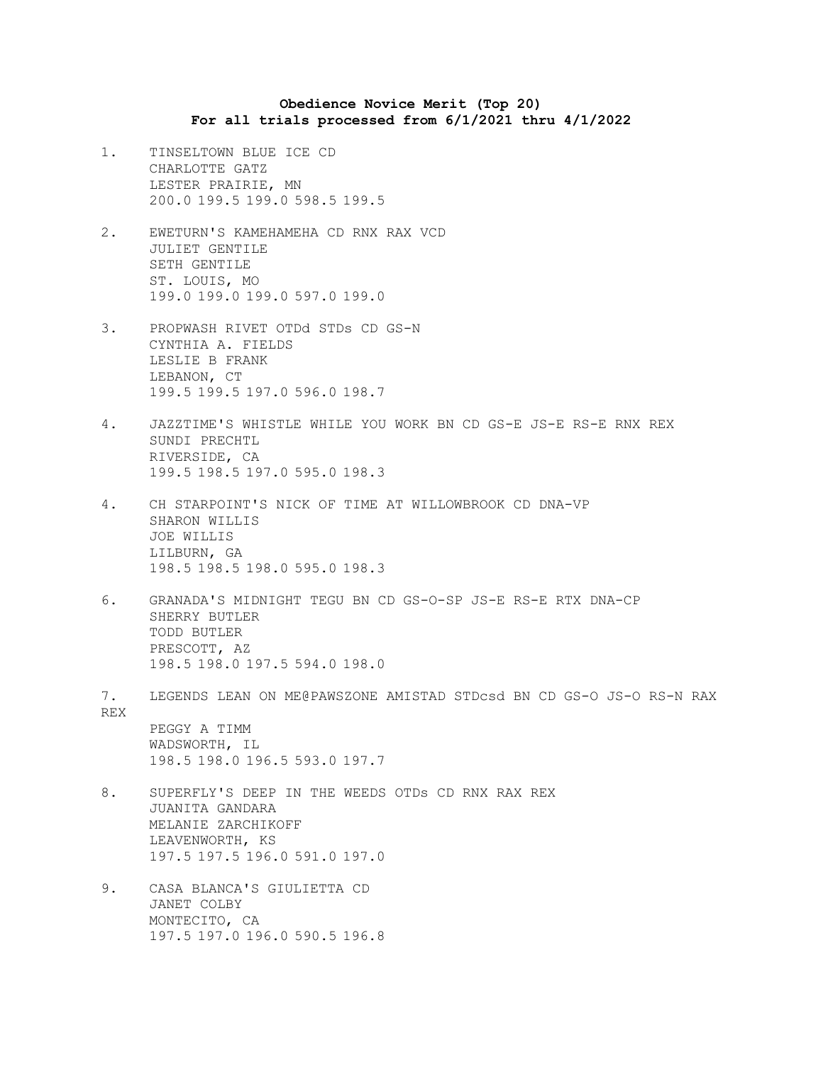## **Obedience Novice Merit (Top 20) For all trials processed from 6/1/2021 thru 4/1/2022**

- 1. TINSELTOWN BLUE ICE CD CHARLOTTE GATZ LESTER PRAIRIE, MN 200.0 199.5 199.0 598.5 199.5
- 2. EWETURN'S KAMEHAMEHA CD RNX RAX VCD JULIET GENTILE SETH GENTILE ST. LOUIS, MO 199.0 199.0 199.0 597.0 199.0
- 3. PROPWASH RIVET OTDd STDs CD GS-N CYNTHIA A. FIELDS LESLIE B FRANK LEBANON, CT 199.5 199.5 197.0 596.0 198.7
- 4. JAZZTIME'S WHISTLE WHILE YOU WORK BN CD GS-E JS-E RS-E RNX REX SUNDI PRECHTL RIVERSIDE, CA 199.5 198.5 197.0 595.0 198.3
- 4. CH STARPOINT'S NICK OF TIME AT WILLOWBROOK CD DNA-VP SHARON WILLIS JOE WILLIS LILBURN, GA 198.5 198.5 198.0 595.0 198.3
- 6. GRANADA'S MIDNIGHT TEGU BN CD GS-O-SP JS-E RS-E RTX DNA-CP SHERRY BUTLER TODD BUTLER PRESCOTT, AZ 198.5 198.0 197.5 594.0 198.0
- 7. LEGENDS LEAN ON ME@PAWSZONE AMISTAD STDcsd BN CD GS-O JS-O RS-N RAX REX

PEGGY A TIMM WADSWORTH, IL 198.5 198.0 196.5 593.0 197.7

- 8. SUPERFLY'S DEEP IN THE WEEDS OTDs CD RNX RAX REX JUANITA GANDARA MELANIE ZARCHIKOFF LEAVENWORTH, KS 197.5 197.5 196.0 591.0 197.0
- 9. CASA BLANCA'S GIULIETTA CD JANET COLBY MONTECITO, CA 197.5 197.0 196.0 590.5 196.8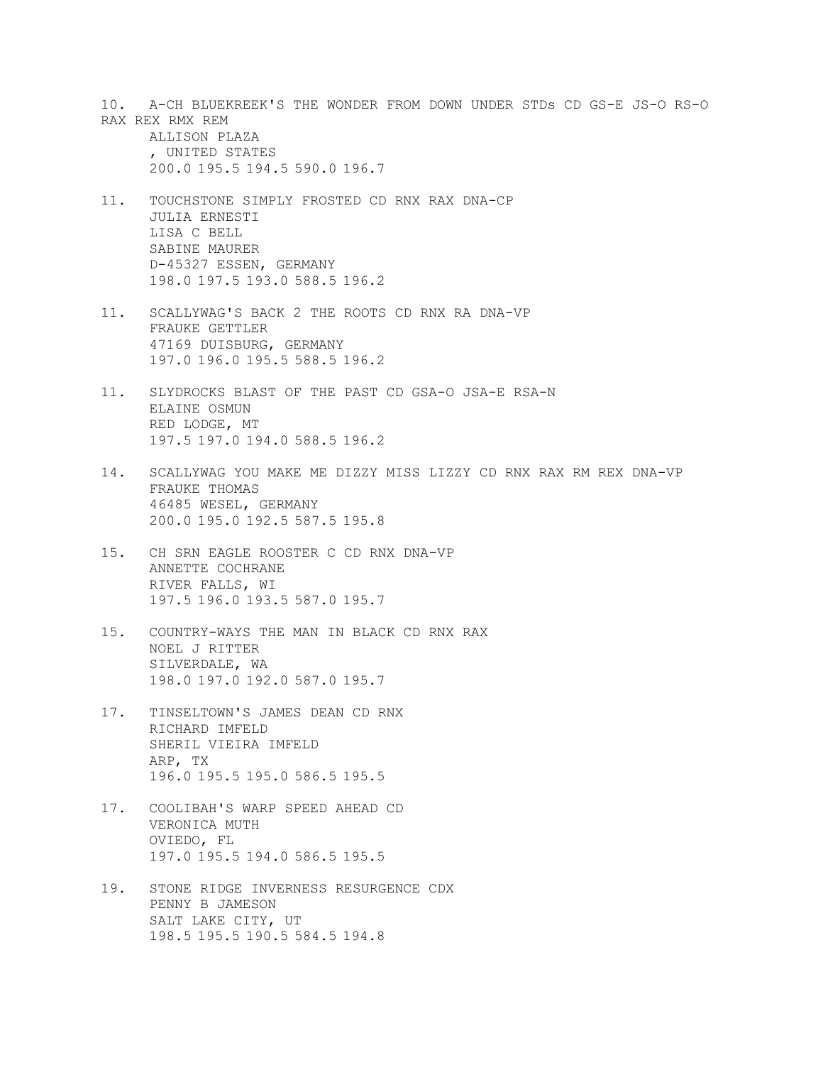10. A-CH BLUEKREEK'S THE WONDER FROM DOWN UNDER STDs CD GS-E JS-O RS-O RAX REX RMX REM

ALLISON PLAZA , UNITED STATES 200.0 195.5 194.5 590.0 196.7

- 11. TOUCHSTONE SIMPLY FROSTED CD RNX RAX DNA-CP JULIA ERNESTI LISA C BELL SABINE MAURER D-45327 ESSEN, GERMANY 198.0 197.5 193.0 588.5 196.2
- 11. SCALLYWAG'S BACK 2 THE ROOTS CD RNX RA DNA-VP FRAUKE GETTLER 47169 DUISBURG, GERMANY 197.0 196.0 195.5 588.5 196.2
- 11. SLYDROCKS BLAST OF THE PAST CD GSA-O JSA-E RSA-N ELAINE OSMUN RED LODGE, MT 197.5 197.0 194.0 588.5 196.2
- 14. SCALLYWAG YOU MAKE ME DIZZY MISS LIZZY CD RNX RAX RM REX DNA-VP FRAUKE THOMAS 46485 WESEL, GERMANY 200.0 195.0 192.5 587.5 195.8
- 15. CH SRN EAGLE ROOSTER C CD RNX DNA-VP ANNETTE COCHRANE RIVER FALLS, WI 197.5 196.0 193.5 587.0 195.7
- 15. COUNTRY-WAYS THE MAN IN BLACK CD RNX RAX NOEL J RITTER SILVERDALE, WA 198.0 197.0 192.0 587.0 195.7
- 17. TINSELTOWN'S JAMES DEAN CD RNX RICHARD IMFELD SHERIL VIEIRA IMFELD ARP, TX 196.0 195.5 195.0 586.5 195.5
- 17. COOLIBAH'S WARP SPEED AHEAD CD VERONICA MUTH OVIEDO, FL 197.0 195.5 194.0 586.5 195.5
- 19. STONE RIDGE INVERNESS RESURGENCE CDX PENNY B JAMESON SALT LAKE CITY, UT 198.5 195.5 190.5 584.5 194.8